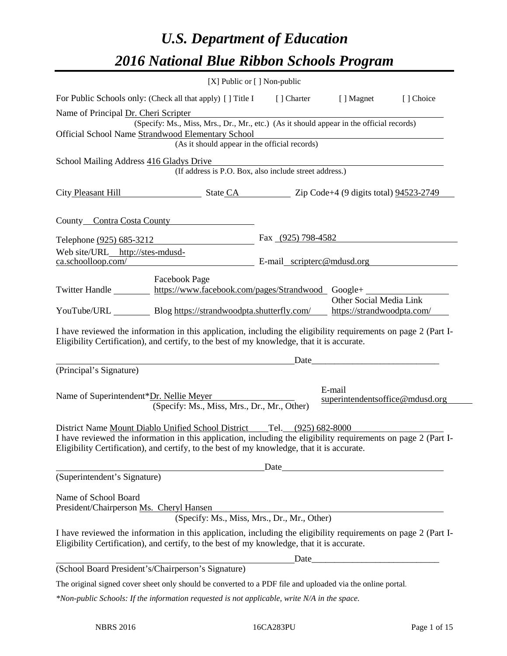# *U.S. Department of Education 2016 National Blue Ribbon Schools Program*

|                                                                                                                                                                                                                                                                                        | [X] Public or [] Non-public                                                              |                            |                                           |           |
|----------------------------------------------------------------------------------------------------------------------------------------------------------------------------------------------------------------------------------------------------------------------------------------|------------------------------------------------------------------------------------------|----------------------------|-------------------------------------------|-----------|
| For Public Schools only: (Check all that apply) [] Title I [] Charter [] Magnet                                                                                                                                                                                                        |                                                                                          |                            |                                           | [] Choice |
| Name of Principal Dr. Cheri Scripter                                                                                                                                                                                                                                                   | (Specify: Ms., Miss, Mrs., Dr., Mr., etc.) (As it should appear in the official records) |                            |                                           |           |
| Official School Name Strandwood Elementary School                                                                                                                                                                                                                                      | (As it should appear in the official records)                                            |                            |                                           |           |
| School Mailing Address 416 Gladys Drive                                                                                                                                                                                                                                                | (If address is P.O. Box, also include street address.)                                   |                            |                                           |           |
| City Pleasant Hill State CA State CA State CA State CA State CA State CA State CA State CA State CA State CA State CA State CA State CA State CA State CA State CA State CA State CA State CA State CA State CA State CA State                                                         |                                                                                          |                            |                                           |           |
| County Contra Costa County                                                                                                                                                                                                                                                             |                                                                                          |                            |                                           |           |
| Telephone (925) 685-3212                                                                                                                                                                                                                                                               |                                                                                          | Fax (925) 798-4582         |                                           |           |
| Web site/URL http://stes-mdusd-<br>ca.schoolloop.com/                                                                                                                                                                                                                                  | <u> 1980 - Johann Barn, mars eta bainar eta idazlea (</u>                                | E-mail_scripterc@mdusd.org |                                           |           |
| Twitter Handle https://www.facebook.com/pages/Strandwood Google+                                                                                                                                                                                                                       | Facebook Page                                                                            |                            | Other Social Media Link                   |           |
| YouTube/URL Blog https://strandwoodpta.shutterfly.com/ https://strandwoodpta.com/                                                                                                                                                                                                      |                                                                                          |                            |                                           |           |
| I have reviewed the information in this application, including the eligibility requirements on page 2 (Part I-<br>Eligibility Certification), and certify, to the best of my knowledge, that it is accurate.                                                                           |                                                                                          |                            |                                           |           |
|                                                                                                                                                                                                                                                                                        |                                                                                          | Date                       |                                           |           |
| (Principal's Signature)                                                                                                                                                                                                                                                                |                                                                                          |                            |                                           |           |
| Name of Superintendent*Dr. Nellie Meyer                                                                                                                                                                                                                                                | (Specify: Ms., Miss, Mrs., Dr., Mr., Other)                                              |                            | E-mail<br>superintendentsoffice@mdusd.org |           |
| District Name Mount Diablo Unified School District Tel. (925) 682-8000<br>I have reviewed the information in this application, including the eligibility requirements on page 2 (Part I-<br>Eligibility Certification), and certify, to the best of my knowledge, that it is accurate. |                                                                                          |                            |                                           |           |
|                                                                                                                                                                                                                                                                                        |                                                                                          | Date                       |                                           |           |
| (Superintendent's Signature)                                                                                                                                                                                                                                                           |                                                                                          |                            |                                           |           |
| Name of School Board<br>President/Chairperson Ms. Cheryl Hansen                                                                                                                                                                                                                        | (Specify: Ms., Miss, Mrs., Dr., Mr., Other)                                              |                            |                                           |           |
| I have reviewed the information in this application, including the eligibility requirements on page 2 (Part I-<br>Eligibility Certification), and certify, to the best of my knowledge, that it is accurate.                                                                           |                                                                                          |                            |                                           |           |
| (School Board President's/Chairperson's Signature)                                                                                                                                                                                                                                     |                                                                                          |                            | Date                                      |           |
|                                                                                                                                                                                                                                                                                        |                                                                                          |                            |                                           |           |
| The original signed cover sheet only should be converted to a PDF file and uploaded via the online portal.                                                                                                                                                                             |                                                                                          |                            |                                           |           |
| *Non-public Schools: If the information requested is not applicable, write N/A in the space.                                                                                                                                                                                           |                                                                                          |                            |                                           |           |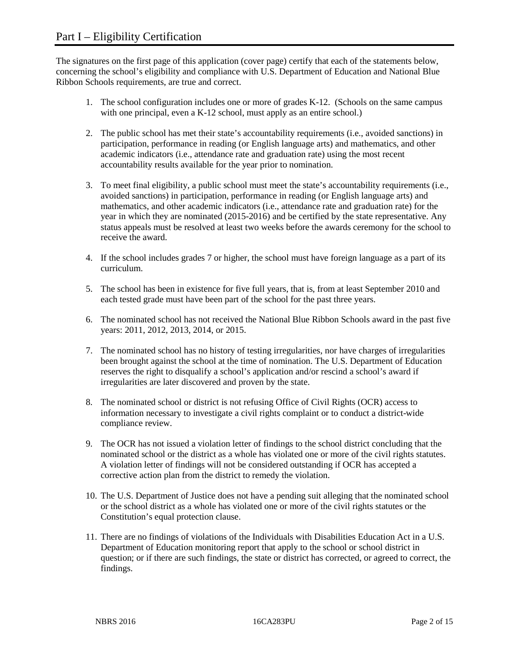The signatures on the first page of this application (cover page) certify that each of the statements below, concerning the school's eligibility and compliance with U.S. Department of Education and National Blue Ribbon Schools requirements, are true and correct.

- 1. The school configuration includes one or more of grades K-12. (Schools on the same campus with one principal, even a K-12 school, must apply as an entire school.)
- 2. The public school has met their state's accountability requirements (i.e., avoided sanctions) in participation, performance in reading (or English language arts) and mathematics, and other academic indicators (i.e., attendance rate and graduation rate) using the most recent accountability results available for the year prior to nomination.
- 3. To meet final eligibility, a public school must meet the state's accountability requirements (i.e., avoided sanctions) in participation, performance in reading (or English language arts) and mathematics, and other academic indicators (i.e., attendance rate and graduation rate) for the year in which they are nominated (2015-2016) and be certified by the state representative. Any status appeals must be resolved at least two weeks before the awards ceremony for the school to receive the award.
- 4. If the school includes grades 7 or higher, the school must have foreign language as a part of its curriculum.
- 5. The school has been in existence for five full years, that is, from at least September 2010 and each tested grade must have been part of the school for the past three years.
- 6. The nominated school has not received the National Blue Ribbon Schools award in the past five years: 2011, 2012, 2013, 2014, or 2015.
- 7. The nominated school has no history of testing irregularities, nor have charges of irregularities been brought against the school at the time of nomination. The U.S. Department of Education reserves the right to disqualify a school's application and/or rescind a school's award if irregularities are later discovered and proven by the state.
- 8. The nominated school or district is not refusing Office of Civil Rights (OCR) access to information necessary to investigate a civil rights complaint or to conduct a district-wide compliance review.
- 9. The OCR has not issued a violation letter of findings to the school district concluding that the nominated school or the district as a whole has violated one or more of the civil rights statutes. A violation letter of findings will not be considered outstanding if OCR has accepted a corrective action plan from the district to remedy the violation.
- 10. The U.S. Department of Justice does not have a pending suit alleging that the nominated school or the school district as a whole has violated one or more of the civil rights statutes or the Constitution's equal protection clause.
- 11. There are no findings of violations of the Individuals with Disabilities Education Act in a U.S. Department of Education monitoring report that apply to the school or school district in question; or if there are such findings, the state or district has corrected, or agreed to correct, the findings.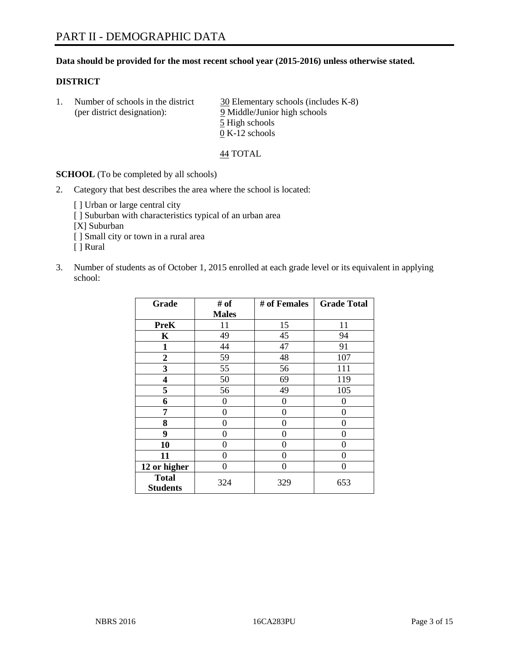#### **Data should be provided for the most recent school year (2015-2016) unless otherwise stated.**

#### **DISTRICT**

1. Number of schools in the district  $\frac{30}{20}$  Elementary schools (includes K-8) (per district designation): 9 Middle/Junior high schools 5 High schools 0 K-12 schools

44 TOTAL

**SCHOOL** (To be completed by all schools)

- 2. Category that best describes the area where the school is located:
	- [] Urban or large central city [ ] Suburban with characteristics typical of an urban area [X] Suburban [ ] Small city or town in a rural area [ ] Rural
- 3. Number of students as of October 1, 2015 enrolled at each grade level or its equivalent in applying school:

| Grade                           | # of         | # of Females | <b>Grade Total</b> |
|---------------------------------|--------------|--------------|--------------------|
|                                 | <b>Males</b> |              |                    |
| <b>PreK</b>                     | 11           | 15           | 11                 |
| K                               | 49           | 45           | 94                 |
| 1                               | 44           | 47           | 91                 |
| $\overline{2}$                  | 59           | 48           | 107                |
| 3                               | 55           | 56           | 111                |
| 4                               | 50           | 69           | 119                |
| 5                               | 56           | 49           | 105                |
| 6                               | 0            | 0            | $\theta$           |
| 7                               | 0            | $\theta$     | 0                  |
| 8                               | 0            | 0            | 0                  |
| 9                               | 0            | 0            | 0                  |
| 10                              | 0            | 0            | 0                  |
| 11                              | $\theta$     | 0            | $\Omega$           |
| 12 or higher                    | 0            | 0            | 0                  |
| <b>Total</b><br><b>Students</b> | 324          | 329          | 653                |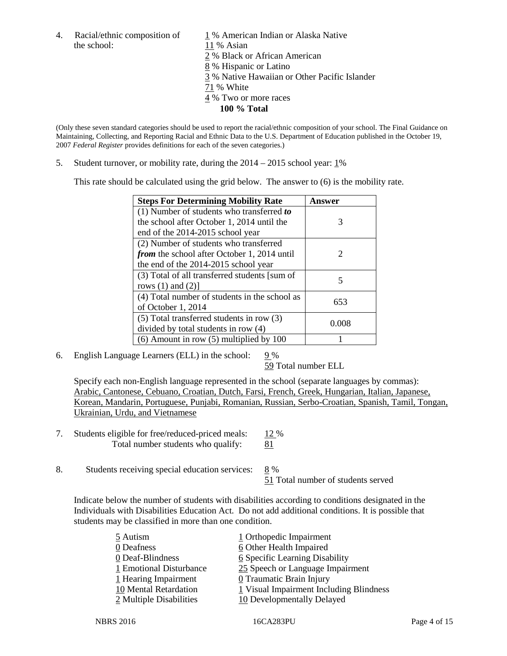the school: 11 % Asian

4. Racial/ethnic composition of  $1\%$  American Indian or Alaska Native 2 % Black or African American 8 % Hispanic or Latino 3 % Native Hawaiian or Other Pacific Islander 71 % White 4 % Two or more races **100 % Total**

(Only these seven standard categories should be used to report the racial/ethnic composition of your school. The Final Guidance on Maintaining, Collecting, and Reporting Racial and Ethnic Data to the U.S. Department of Education published in the October 19, 2007 *Federal Register* provides definitions for each of the seven categories.)

5. Student turnover, or mobility rate, during the  $2014 - 2015$  school year:  $1\%$ 

This rate should be calculated using the grid below. The answer to (6) is the mobility rate.

| <b>Steps For Determining Mobility Rate</b>         | Answer |  |
|----------------------------------------------------|--------|--|
| (1) Number of students who transferred to          |        |  |
| the school after October 1, 2014 until the         | 3      |  |
| end of the 2014-2015 school year                   |        |  |
| (2) Number of students who transferred             |        |  |
| <i>from</i> the school after October 1, 2014 until | 2      |  |
| the end of the 2014-2015 school year               |        |  |
| (3) Total of all transferred students [sum of      | 5      |  |
| rows $(1)$ and $(2)$ ]                             |        |  |
| (4) Total number of students in the school as      | 653    |  |
| of October 1, 2014                                 |        |  |
| $(5)$ Total transferred students in row $(3)$      | 0.008  |  |
| divided by total students in row (4)               |        |  |
| $(6)$ Amount in row $(5)$ multiplied by 100        |        |  |

6. English Language Learners (ELL) in the school:  $9\%$ 

59 Total number ELL

Specify each non-English language represented in the school (separate languages by commas): Arabic, Cantonese, Cebuano, Croatian, Dutch, Farsi, French, Greek, Hungarian, Italian, Japanese, Korean, Mandarin, Portuguese, Punjabi, Romanian, Russian, Serbo-Croatian, Spanish, Tamil, Tongan, Ukrainian, Urdu, and Vietnamese

- 7. Students eligible for free/reduced-priced meals: 12 % Total number students who qualify: 81
- 8. Students receiving special education services: 8 %

51 Total number of students served

Indicate below the number of students with disabilities according to conditions designated in the Individuals with Disabilities Education Act. Do not add additional conditions. It is possible that students may be classified in more than one condition.

| 5 Autism                | 1 Orthopedic Impairment                 |
|-------------------------|-----------------------------------------|
| 0 Deafness              | 6 Other Health Impaired                 |
| 0 Deaf-Blindness        | 6 Specific Learning Disability          |
| 1 Emotional Disturbance | 25 Speech or Language Impairment        |
| 1 Hearing Impairment    | 0 Traumatic Brain Injury                |
| 10 Mental Retardation   | 1 Visual Impairment Including Blindness |
| 2 Multiple Disabilities | 10 Developmentally Delayed              |
|                         |                                         |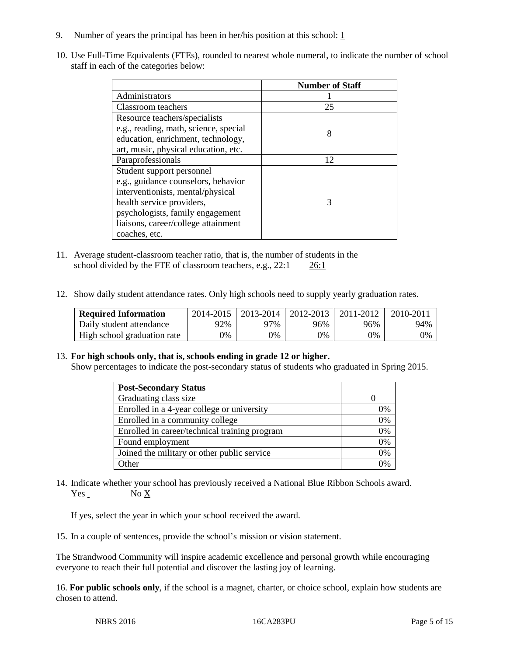- 9. Number of years the principal has been in her/his position at this school:  $1$
- 10. Use Full-Time Equivalents (FTEs), rounded to nearest whole numeral, to indicate the number of school staff in each of the categories below:

|                                       | <b>Number of Staff</b> |
|---------------------------------------|------------------------|
| Administrators                        |                        |
| Classroom teachers                    | 25                     |
| Resource teachers/specialists         |                        |
| e.g., reading, math, science, special | 8                      |
| education, enrichment, technology,    |                        |
| art, music, physical education, etc.  |                        |
| Paraprofessionals                     | 12                     |
| Student support personnel             |                        |
| e.g., guidance counselors, behavior   |                        |
| interventionists, mental/physical     |                        |
| health service providers,             |                        |
| psychologists, family engagement      |                        |
| liaisons, career/college attainment   |                        |
| coaches, etc.                         |                        |

- 11. Average student-classroom teacher ratio, that is, the number of students in the school divided by the FTE of classroom teachers, e.g., 22:1 26:1
- 12. Show daily student attendance rates. Only high schools need to supply yearly graduation rates.

| <b>Required Information</b> | 2014-2015 | $2013 - 2014$ | 2012-2013 | 2011-2012 | 2010-2011 |
|-----------------------------|-----------|---------------|-----------|-----------|-----------|
| Daily student attendance    | ว2%       | 97%           | 96%       | 96%       | 94%       |
| High school graduation rate | 9%        | $9\%$         | 9%        | 9%        | 0%        |

#### 13. **For high schools only, that is, schools ending in grade 12 or higher.**

Show percentages to indicate the post-secondary status of students who graduated in Spring 2015.

| <b>Post-Secondary Status</b>                  |    |
|-----------------------------------------------|----|
| Graduating class size                         |    |
| Enrolled in a 4-year college or university    | 0% |
| Enrolled in a community college               | 0% |
| Enrolled in career/technical training program | 0% |
| Found employment                              | 0% |
| Joined the military or other public service   | 0% |
| Other                                         | 0/ |

14. Indicate whether your school has previously received a National Blue Ribbon Schools award. Yes No X

If yes, select the year in which your school received the award.

15. In a couple of sentences, provide the school's mission or vision statement.

The Strandwood Community will inspire academic excellence and personal growth while encouraging everyone to reach their full potential and discover the lasting joy of learning.

16. **For public schools only**, if the school is a magnet, charter, or choice school, explain how students are chosen to attend.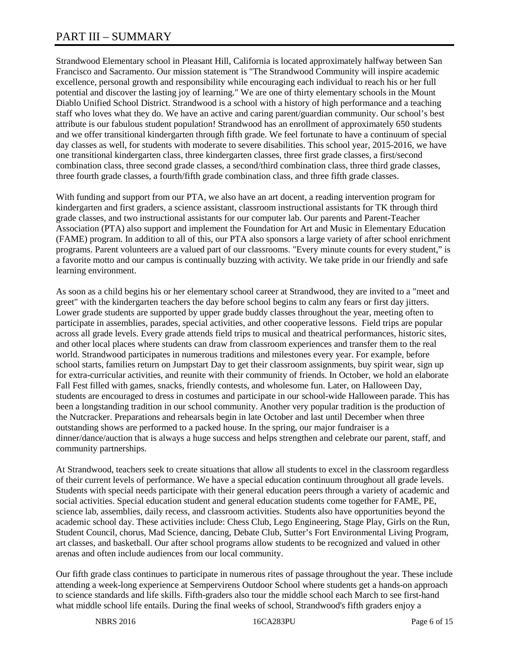## PART III – SUMMARY

Strandwood Elementary school in Pleasant Hill, California is located approximately halfway between San Francisco and Sacramento. Our mission statement is "The Strandwood Community will inspire academic excellence, personal growth and responsibility while encouraging each individual to reach his or her full potential and discover the lasting joy of learning." We are one of thirty elementary schools in the Mount Diablo Unified School District. Strandwood is a school with a history of high performance and a teaching staff who loves what they do. We have an active and caring parent/guardian community. Our school's best attribute is our fabulous student population! Strandwood has an enrollment of approximately 650 students and we offer transitional kindergarten through fifth grade. We feel fortunate to have a continuum of special day classes as well, for students with moderate to severe disabilities. This school year, 2015-2016, we have one transitional kindergarten class, three kindergarten classes, three first grade classes, a first/second combination class, three second grade classes, a second/third combination class, three third grade classes, three fourth grade classes, a fourth/fifth grade combination class, and three fifth grade classes.

With funding and support from our PTA, we also have an art docent, a reading intervention program for kindergarten and first graders, a science assistant, classroom instructional assistants for TK through third grade classes, and two instructional assistants for our computer lab. Our parents and Parent-Teacher Association (PTA) also support and implement the Foundation for Art and Music in Elementary Education (FAME) program. In addition to all of this, our PTA also sponsors a large variety of after school enrichment programs. Parent volunteers are a valued part of our classrooms. "Every minute counts for every student," is a favorite motto and our campus is continually buzzing with activity. We take pride in our friendly and safe learning environment.

As soon as a child begins his or her elementary school career at Strandwood, they are invited to a "meet and greet" with the kindergarten teachers the day before school begins to calm any fears or first day jitters. Lower grade students are supported by upper grade buddy classes throughout the year, meeting often to participate in assemblies, parades, special activities, and other cooperative lessons. Field trips are popular across all grade levels. Every grade attends field trips to musical and theatrical performances, historic sites, and other local places where students can draw from classroom experiences and transfer them to the real world. Strandwood participates in numerous traditions and milestones every year. For example, before school starts, families return on Jumpstart Day to get their classroom assignments, buy spirit wear, sign up for extra-curricular activities, and reunite with their community of friends. In October, we hold an elaborate Fall Fest filled with games, snacks, friendly contests, and wholesome fun. Later, on Halloween Day, students are encouraged to dress in costumes and participate in our school-wide Halloween parade. This has been a longstanding tradition in our school community. Another very popular tradition is the production of the Nutcracker. Preparations and rehearsals begin in late October and last until December when three outstanding shows are performed to a packed house. In the spring, our major fundraiser is a dinner/dance/auction that is always a huge success and helps strengthen and celebrate our parent, staff, and community partnerships.

At Strandwood, teachers seek to create situations that allow all students to excel in the classroom regardless of their current levels of performance. We have a special education continuum throughout all grade levels. Students with special needs participate with their general education peers through a variety of academic and social activities. Special education student and general education students come together for FAME, PE, science lab, assemblies, daily recess, and classroom activities. Students also have opportunities beyond the academic school day. These activities include: Chess Club, Lego Engineering, Stage Play, Girls on the Run, Student Council, chorus, Mad Science, dancing, Debate Club, Sutter's Fort Environmental Living Program, art classes, and basketball. Our after school programs allow students to be recognized and valued in other arenas and often include audiences from our local community.

Our fifth grade class continues to participate in numerous rites of passage throughout the year. These include attending a week-long experience at Sempervirens Outdoor School where students get a hands-on approach to science standards and life skills. Fifth-graders also tour the middle school each March to see first-hand what middle school life entails. During the final weeks of school, Strandwood's fifth graders enjoy a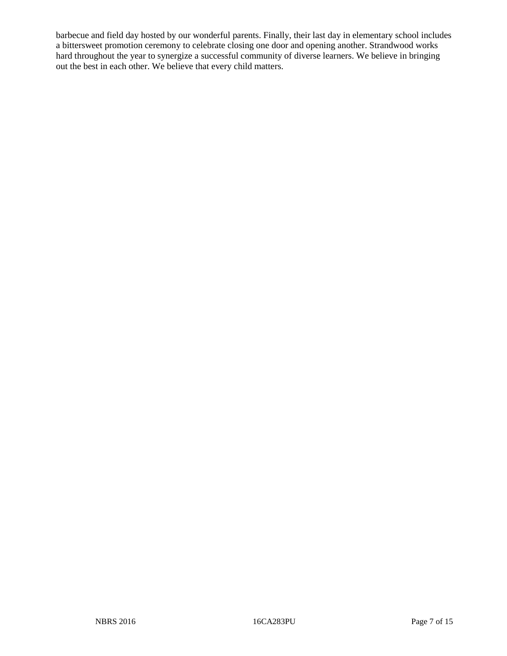barbecue and field day hosted by our wonderful parents. Finally, their last day in elementary school includes a bittersweet promotion ceremony to celebrate closing one door and opening another. Strandwood works hard throughout the year to synergize a successful community of diverse learners. We believe in bringing out the best in each other. We believe that every child matters.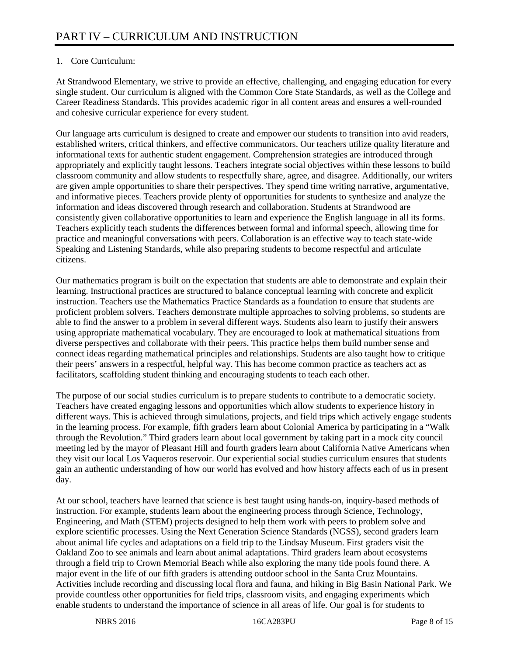### 1. Core Curriculum:

At Strandwood Elementary, we strive to provide an effective, challenging, and engaging education for every single student. Our curriculum is aligned with the Common Core State Standards, as well as the College and Career Readiness Standards. This provides academic rigor in all content areas and ensures a well-rounded and cohesive curricular experience for every student.

Our language arts curriculum is designed to create and empower our students to transition into avid readers, established writers, critical thinkers, and effective communicators. Our teachers utilize quality literature and informational texts for authentic student engagement. Comprehension strategies are introduced through appropriately and explicitly taught lessons. Teachers integrate social objectives within these lessons to build classroom community and allow students to respectfully share, agree, and disagree. Additionally, our writers are given ample opportunities to share their perspectives. They spend time writing narrative, argumentative, and informative pieces. Teachers provide plenty of opportunities for students to synthesize and analyze the information and ideas discovered through research and collaboration. Students at Strandwood are consistently given collaborative opportunities to learn and experience the English language in all its forms. Teachers explicitly teach students the differences between formal and informal speech, allowing time for practice and meaningful conversations with peers. Collaboration is an effective way to teach state-wide Speaking and Listening Standards, while also preparing students to become respectful and articulate citizens.

Our mathematics program is built on the expectation that students are able to demonstrate and explain their learning. Instructional practices are structured to balance conceptual learning with concrete and explicit instruction. Teachers use the Mathematics Practice Standards as a foundation to ensure that students are proficient problem solvers. Teachers demonstrate multiple approaches to solving problems, so students are able to find the answer to a problem in several different ways. Students also learn to justify their answers using appropriate mathematical vocabulary. They are encouraged to look at mathematical situations from diverse perspectives and collaborate with their peers. This practice helps them build number sense and connect ideas regarding mathematical principles and relationships. Students are also taught how to critique their peers' answers in a respectful, helpful way. This has become common practice as teachers act as facilitators, scaffolding student thinking and encouraging students to teach each other.

The purpose of our social studies curriculum is to prepare students to contribute to a democratic society. Teachers have created engaging lessons and opportunities which allow students to experience history in different ways. This is achieved through simulations, projects, and field trips which actively engage students in the learning process. For example, fifth graders learn about Colonial America by participating in a "Walk through the Revolution." Third graders learn about local government by taking part in a mock city council meeting led by the mayor of Pleasant Hill and fourth graders learn about California Native Americans when they visit our local Los Vaqueros reservoir. Our experiential social studies curriculum ensures that students gain an authentic understanding of how our world has evolved and how history affects each of us in present day.

At our school, teachers have learned that science is best taught using hands-on, inquiry-based methods of instruction. For example, students learn about the engineering process through Science, Technology, Engineering, and Math (STEM) projects designed to help them work with peers to problem solve and explore scientific processes. Using the Next Generation Science Standards (NGSS), second graders learn about animal life cycles and adaptations on a field trip to the Lindsay Museum. First graders visit the Oakland Zoo to see animals and learn about animal adaptations. Third graders learn about ecosystems through a field trip to Crown Memorial Beach while also exploring the many tide pools found there. A major event in the life of our fifth graders is attending outdoor school in the Santa Cruz Mountains. Activities include recording and discussing local flora and fauna, and hiking in Big Basin National Park. We provide countless other opportunities for field trips, classroom visits, and engaging experiments which enable students to understand the importance of science in all areas of life. Our goal is for students to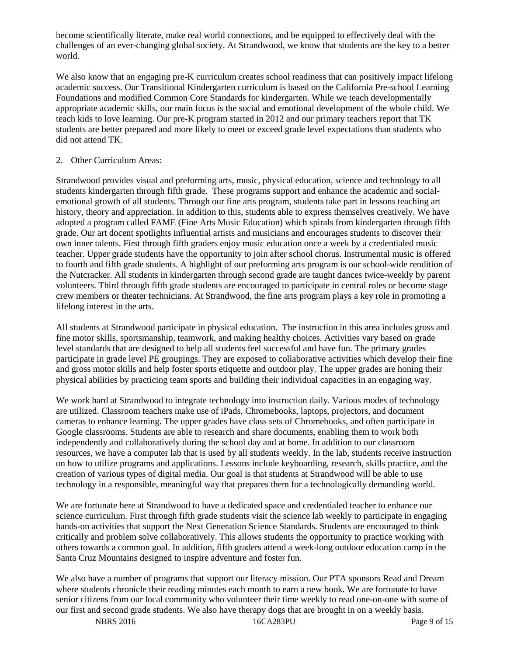become scientifically literate, make real world connections, and be equipped to effectively deal with the challenges of an ever-changing global society. At Strandwood, we know that students are the key to a better world.

We also know that an engaging pre-K curriculum creates school readiness that can positively impact lifelong academic success. Our Transitional Kindergarten curriculum is based on the California Pre-school Learning Foundations and modified Common Core Standards for kindergarten. While we teach developmentally appropriate academic skills, our main focus is the social and emotional development of the whole child. We teach kids to love learning. Our pre-K program started in 2012 and our primary teachers report that TK students are better prepared and more likely to meet or exceed grade level expectations than students who did not attend TK.

#### 2. Other Curriculum Areas:

Strandwood provides visual and preforming arts, music, physical education, science and technology to all students kindergarten through fifth grade. These programs support and enhance the academic and socialemotional growth of all students. Through our fine arts program, students take part in lessons teaching art history, theory and appreciation. In addition to this, students able to express themselves creatively. We have adopted a program called FAME (Fine Arts Music Education) which spirals from kindergarten through fifth grade. Our art docent spotlights influential artists and musicians and encourages students to discover their own inner talents. First through fifth graders enjoy music education once a week by a credentialed music teacher. Upper grade students have the opportunity to join after school chorus. Instrumental music is offered to fourth and fifth grade students. A highlight of our preforming arts program is our school-wide rendition of the Nutcracker. All students in kindergarten through second grade are taught dances twice-weekly by parent volunteers. Third through fifth grade students are encouraged to participate in central roles or become stage crew members or theater technicians. At Strandwood, the fine arts program plays a key role in promoting a lifelong interest in the arts.

All students at Strandwood participate in physical education. The instruction in this area includes gross and fine motor skills, sportsmanship, teamwork, and making healthy choices. Activities vary based on grade level standards that are designed to help all students feel successful and have fun. The primary grades participate in grade level PE groupings. They are exposed to collaborative activities which develop their fine and gross motor skills and help foster sports etiquette and outdoor play. The upper grades are honing their physical abilities by practicing team sports and building their individual capacities in an engaging way.

We work hard at Strandwood to integrate technology into instruction daily. Various modes of technology are utilized. Classroom teachers make use of iPads, Chromebooks, laptops, projectors, and document cameras to enhance learning. The upper grades have class sets of Chromebooks, and often participate in Google classrooms. Students are able to research and share documents, enabling them to work both independently and collaboratively during the school day and at home. In addition to our classroom resources, we have a computer lab that is used by all students weekly. In the lab, students receive instruction on how to utilize programs and applications. Lessons include keyboarding, research, skills practice, and the creation of various types of digital media. Our goal is that students at Strandwood will be able to use technology in a responsible, meaningful way that prepares them for a technologically demanding world.

We are fortunate here at Strandwood to have a dedicated space and credentialed teacher to enhance our science curriculum. First through fifth grade students visit the science lab weekly to participate in engaging hands-on activities that support the Next Generation Science Standards. Students are encouraged to think critically and problem solve collaboratively. This allows students the opportunity to practice working with others towards a common goal. In addition, fifth graders attend a week-long outdoor education camp in the Santa Cruz Mountains designed to inspire adventure and foster fun.

We also have a number of programs that support our literacy mission. Our PTA sponsors Read and Dream where students chronicle their reading minutes each month to earn a new book. We are fortunate to have senior citizens from our local community who volunteer their time weekly to read one-on-one with some of our first and second grade students. We also have therapy dogs that are brought in on a weekly basis.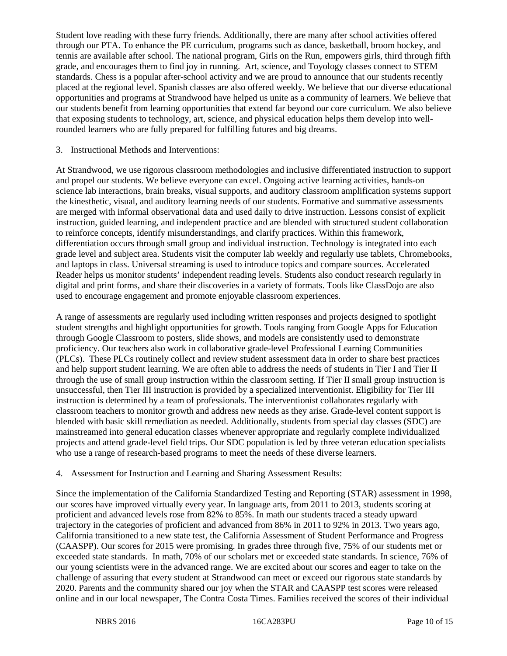Student love reading with these furry friends. Additionally, there are many after school activities offered through our PTA. To enhance the PE curriculum, programs such as dance, basketball, broom hockey, and tennis are available after school. The national program, Girls on the Run, empowers girls, third through fifth grade, and encourages them to find joy in running. Art, science, and Toyology classes connect to STEM standards. Chess is a popular after-school activity and we are proud to announce that our students recently placed at the regional level. Spanish classes are also offered weekly. We believe that our diverse educational opportunities and programs at Strandwood have helped us unite as a community of learners. We believe that our students benefit from learning opportunities that extend far beyond our core curriculum. We also believe that exposing students to technology, art, science, and physical education helps them develop into wellrounded learners who are fully prepared for fulfilling futures and big dreams.

#### 3. Instructional Methods and Interventions:

At Strandwood, we use rigorous classroom methodologies and inclusive differentiated instruction to support and propel our students. We believe everyone can excel. Ongoing active learning activities, hands-on science lab interactions, brain breaks, visual supports, and auditory classroom amplification systems support the kinesthetic, visual, and auditory learning needs of our students. Formative and summative assessments are merged with informal observational data and used daily to drive instruction. Lessons consist of explicit instruction, guided learning, and independent practice and are blended with structured student collaboration to reinforce concepts, identify misunderstandings, and clarify practices. Within this framework, differentiation occurs through small group and individual instruction. Technology is integrated into each grade level and subject area. Students visit the computer lab weekly and regularly use tablets, Chromebooks, and laptops in class. Universal streaming is used to introduce topics and compare sources. Accelerated Reader helps us monitor students' independent reading levels. Students also conduct research regularly in digital and print forms, and share their discoveries in a variety of formats. Tools like ClassDojo are also used to encourage engagement and promote enjoyable classroom experiences.

A range of assessments are regularly used including written responses and projects designed to spotlight student strengths and highlight opportunities for growth. Tools ranging from Google Apps for Education through Google Classroom to posters, slide shows, and models are consistently used to demonstrate proficiency. Our teachers also work in collaborative grade-level Professional Learning Communities (PLCs). These PLCs routinely collect and review student assessment data in order to share best practices and help support student learning. We are often able to address the needs of students in Tier I and Tier II through the use of small group instruction within the classroom setting. If Tier II small group instruction is unsuccessful, then Tier III instruction is provided by a specialized interventionist. Eligibility for Tier III instruction is determined by a team of professionals. The interventionist collaborates regularly with classroom teachers to monitor growth and address new needs as they arise. Grade-level content support is blended with basic skill remediation as needed. Additionally, students from special day classes (SDC) are mainstreamed into general education classes whenever appropriate and regularly complete individualized projects and attend grade-level field trips. Our SDC population is led by three veteran education specialists who use a range of research-based programs to meet the needs of these diverse learners.

#### 4. Assessment for Instruction and Learning and Sharing Assessment Results:

Since the implementation of the California Standardized Testing and Reporting (STAR) assessment in 1998, our scores have improved virtually every year. In language arts, from 2011 to 2013, students scoring at proficient and advanced levels rose from 82% to 85%. In math our students traced a steady upward trajectory in the categories of proficient and advanced from 86% in 2011 to 92% in 2013. Two years ago, California transitioned to a new state test, the California Assessment of Student Performance and Progress (CAASPP). Our scores for 2015 were promising. In grades three through five, 75% of our students met or exceeded state standards. In math, 70% of our scholars met or exceeded state standards. In science, 76% of our young scientists were in the advanced range. We are excited about our scores and eager to take on the challenge of assuring that every student at Strandwood can meet or exceed our rigorous state standards by 2020. Parents and the community shared our joy when the STAR and CAASPP test scores were released online and in our local newspaper, The Contra Costa Times. Families received the scores of their individual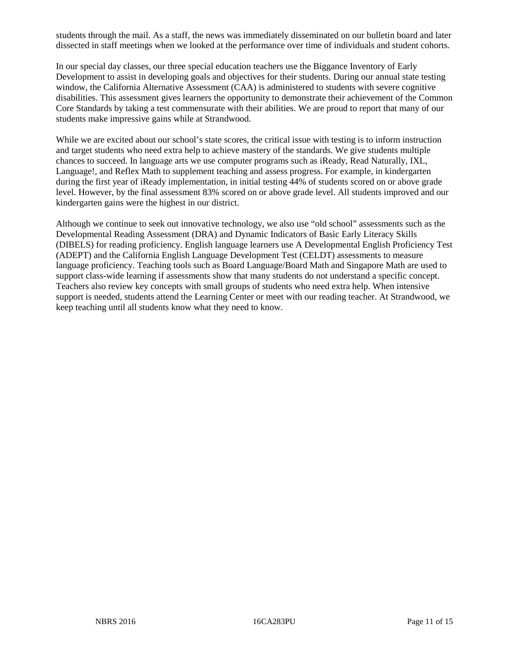students through the mail. As a staff, the news was immediately disseminated on our bulletin board and later dissected in staff meetings when we looked at the performance over time of individuals and student cohorts.

In our special day classes, our three special education teachers use the Biggance Inventory of Early Development to assist in developing goals and objectives for their students. During our annual state testing window, the California Alternative Assessment (CAA) is administered to students with severe cognitive disabilities. This assessment gives learners the opportunity to demonstrate their achievement of the Common Core Standards by taking a test commensurate with their abilities. We are proud to report that many of our students make impressive gains while at Strandwood.

While we are excited about our school's state scores, the critical issue with testing is to inform instruction and target students who need extra help to achieve mastery of the standards. We give students multiple chances to succeed. In language arts we use computer programs such as iReady, Read Naturally, IXL, Language!, and Reflex Math to supplement teaching and assess progress. For example, in kindergarten during the first year of iReady implementation, in initial testing 44% of students scored on or above grade level. However, by the final assessment 83% scored on or above grade level. All students improved and our kindergarten gains were the highest in our district.

Although we continue to seek out innovative technology, we also use "old school" assessments such as the Developmental Reading Assessment (DRA) and Dynamic Indicators of Basic Early Literacy Skills (DIBELS) for reading proficiency. English language learners use A Developmental English Proficiency Test (ADEPT) and the California English Language Development Test (CELDT) assessments to measure language proficiency. Teaching tools such as Board Language/Board Math and Singapore Math are used to support class-wide learning if assessments show that many students do not understand a specific concept. Teachers also review key concepts with small groups of students who need extra help. When intensive support is needed, students attend the Learning Center or meet with our reading teacher. At Strandwood, we keep teaching until all students know what they need to know.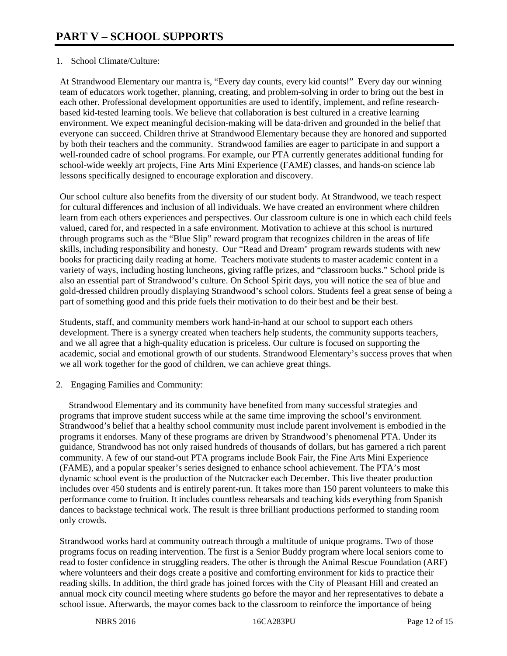#### 1. School Climate/Culture:

At Strandwood Elementary our mantra is, "Every day counts, every kid counts!" Every day our winning team of educators work together, planning, creating, and problem-solving in order to bring out the best in each other. Professional development opportunities are used to identify, implement, and refine researchbased kid-tested learning tools. We believe that collaboration is best cultured in a creative learning environment. We expect meaningful decision-making will be data-driven and grounded in the belief that everyone can succeed. Children thrive at Strandwood Elementary because they are honored and supported by both their teachers and the community. Strandwood families are eager to participate in and support a well-rounded cadre of school programs. For example, our PTA currently generates additional funding for school-wide weekly art projects, Fine Arts Mini Experience (FAME) classes, and hands-on science lab lessons specifically designed to encourage exploration and discovery.

Our school culture also benefits from the diversity of our student body. At Strandwood, we teach respect for cultural differences and inclusion of all individuals. We have created an environment where children learn from each others experiences and perspectives. Our classroom culture is one in which each child feels valued, cared for, and respected in a safe environment. Motivation to achieve at this school is nurtured through programs such as the "Blue Slip" reward program that recognizes children in the areas of life skills, including responsibility and honesty. Our "Read and Dream" program rewards students with new books for practicing daily reading at home. Teachers motivate students to master academic content in a variety of ways, including hosting luncheons, giving raffle prizes, and "classroom bucks." School pride is also an essential part of Strandwood's culture. On School Spirit days, you will notice the sea of blue and gold-dressed children proudly displaying Strandwood's school colors. Students feel a great sense of being a part of something good and this pride fuels their motivation to do their best and be their best.

Students, staff, and community members work hand-in-hand at our school to support each others development. There is a synergy created when teachers help students, the community supports teachers, and we all agree that a high-quality education is priceless. Our culture is focused on supporting the academic, social and emotional growth of our students. Strandwood Elementary's success proves that when we all work together for the good of children, we can achieve great things.

2. Engaging Families and Community:

 Strandwood Elementary and its community have benefited from many successful strategies and programs that improve student success while at the same time improving the school's environment. Strandwood's belief that a healthy school community must include parent involvement is embodied in the programs it endorses. Many of these programs are driven by Strandwood's phenomenal PTA. Under its guidance, Strandwood has not only raised hundreds of thousands of dollars, but has garnered a rich parent community. A few of our stand-out PTA programs include Book Fair, the Fine Arts Mini Experience (FAME), and a popular speaker's series designed to enhance school achievement. The PTA's most dynamic school event is the production of the Nutcracker each December. This live theater production includes over 450 students and is entirely parent-run. It takes more than 150 parent volunteers to make this performance come to fruition. It includes countless rehearsals and teaching kids everything from Spanish dances to backstage technical work. The result is three brilliant productions performed to standing room only crowds.

Strandwood works hard at community outreach through a multitude of unique programs. Two of those programs focus on reading intervention. The first is a Senior Buddy program where local seniors come to read to foster confidence in struggling readers. The other is through the Animal Rescue Foundation (ARF) where volunteers and their dogs create a positive and comforting environment for kids to practice their reading skills. In addition, the third grade has joined forces with the City of Pleasant Hill and created an annual mock city council meeting where students go before the mayor and her representatives to debate a school issue. Afterwards, the mayor comes back to the classroom to reinforce the importance of being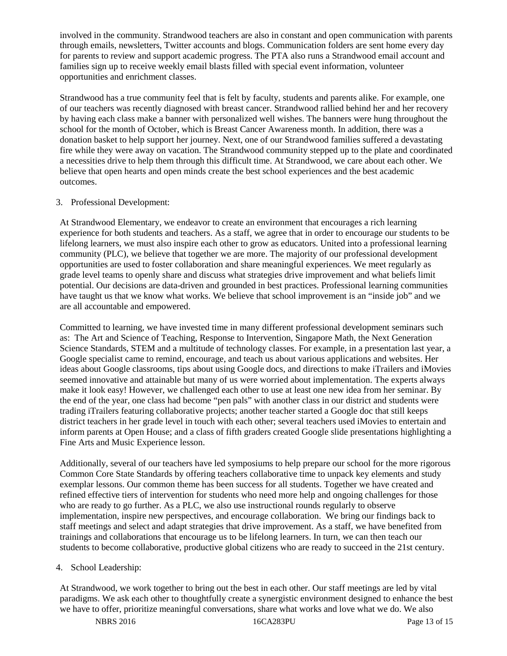involved in the community. Strandwood teachers are also in constant and open communication with parents through emails, newsletters, Twitter accounts and blogs. Communication folders are sent home every day for parents to review and support academic progress. The PTA also runs a Strandwood email account and families sign up to receive weekly email blasts filled with special event information, volunteer opportunities and enrichment classes.

Strandwood has a true community feel that is felt by faculty, students and parents alike. For example, one of our teachers was recently diagnosed with breast cancer. Strandwood rallied behind her and her recovery by having each class make a banner with personalized well wishes. The banners were hung throughout the school for the month of October, which is Breast Cancer Awareness month. In addition, there was a donation basket to help support her journey. Next, one of our Strandwood families suffered a devastating fire while they were away on vacation. The Strandwood community stepped up to the plate and coordinated a necessities drive to help them through this difficult time. At Strandwood, we care about each other. We believe that open hearts and open minds create the best school experiences and the best academic outcomes.

#### 3. Professional Development:

At Strandwood Elementary, we endeavor to create an environment that encourages a rich learning experience for both students and teachers. As a staff, we agree that in order to encourage our students to be lifelong learners, we must also inspire each other to grow as educators. United into a professional learning community (PLC), we believe that together we are more. The majority of our professional development opportunities are used to foster collaboration and share meaningful experiences. We meet regularly as grade level teams to openly share and discuss what strategies drive improvement and what beliefs limit potential. Our decisions are data-driven and grounded in best practices. Professional learning communities have taught us that we know what works. We believe that school improvement is an "inside job" and we are all accountable and empowered.

Committed to learning, we have invested time in many different professional development seminars such as: The Art and Science of Teaching, Response to Intervention, Singapore Math, the Next Generation Science Standards, STEM and a multitude of technology classes. For example, in a presentation last year, a Google specialist came to remind, encourage, and teach us about various applications and websites. Her ideas about Google classrooms, tips about using Google docs, and directions to make iTrailers and iMovies seemed innovative and attainable but many of us were worried about implementation. The experts always make it look easy! However, we challenged each other to use at least one new idea from her seminar. By the end of the year, one class had become "pen pals" with another class in our district and students were trading iTrailers featuring collaborative projects; another teacher started a Google doc that still keeps district teachers in her grade level in touch with each other; several teachers used iMovies to entertain and inform parents at Open House; and a class of fifth graders created Google slide presentations highlighting a Fine Arts and Music Experience lesson.

Additionally, several of our teachers have led symposiums to help prepare our school for the more rigorous Common Core State Standards by offering teachers collaborative time to unpack key elements and study exemplar lessons. Our common theme has been success for all students. Together we have created and refined effective tiers of intervention for students who need more help and ongoing challenges for those who are ready to go further. As a PLC, we also use instructional rounds regularly to observe implementation, inspire new perspectives, and encourage collaboration. We bring our findings back to staff meetings and select and adapt strategies that drive improvement. As a staff, we have benefited from trainings and collaborations that encourage us to be lifelong learners. In turn, we can then teach our students to become collaborative, productive global citizens who are ready to succeed in the 21st century.

#### 4. School Leadership:

At Strandwood, we work together to bring out the best in each other. Our staff meetings are led by vital paradigms. We ask each other to thoughtfully create a synergistic environment designed to enhance the best we have to offer, prioritize meaningful conversations, share what works and love what we do. We also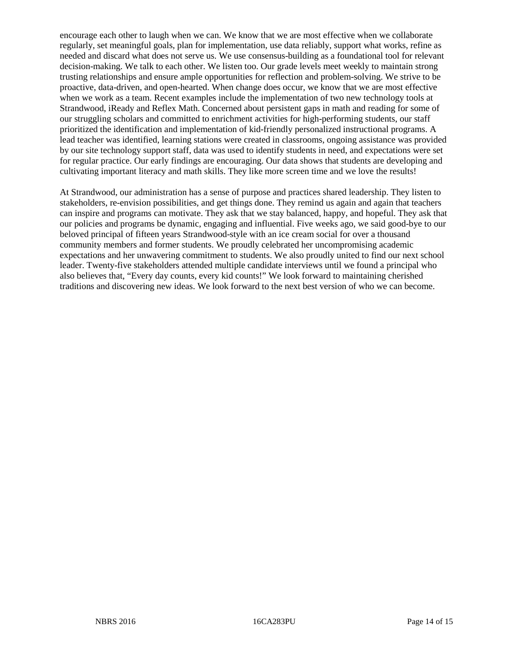encourage each other to laugh when we can. We know that we are most effective when we collaborate regularly, set meaningful goals, plan for implementation, use data reliably, support what works, refine as needed and discard what does not serve us. We use consensus-building as a foundational tool for relevant decision-making. We talk to each other. We listen too. Our grade levels meet weekly to maintain strong trusting relationships and ensure ample opportunities for reflection and problem-solving. We strive to be proactive, data-driven, and open-hearted. When change does occur, we know that we are most effective when we work as a team. Recent examples include the implementation of two new technology tools at Strandwood, iReady and Reflex Math. Concerned about persistent gaps in math and reading for some of our struggling scholars and committed to enrichment activities for high-performing students, our staff prioritized the identification and implementation of kid-friendly personalized instructional programs. A lead teacher was identified, learning stations were created in classrooms, ongoing assistance was provided by our site technology support staff, data was used to identify students in need, and expectations were set for regular practice. Our early findings are encouraging. Our data shows that students are developing and cultivating important literacy and math skills. They like more screen time and we love the results!

At Strandwood, our administration has a sense of purpose and practices shared leadership. They listen to stakeholders, re-envision possibilities, and get things done. They remind us again and again that teachers can inspire and programs can motivate. They ask that we stay balanced, happy, and hopeful. They ask that our policies and programs be dynamic, engaging and influential. Five weeks ago, we said good-bye to our beloved principal of fifteen years Strandwood-style with an ice cream social for over a thousand community members and former students. We proudly celebrated her uncompromising academic expectations and her unwavering commitment to students. We also proudly united to find our next school leader. Twenty-five stakeholders attended multiple candidate interviews until we found a principal who also believes that, "Every day counts, every kid counts!" We look forward to maintaining cherished traditions and discovering new ideas. We look forward to the next best version of who we can become.